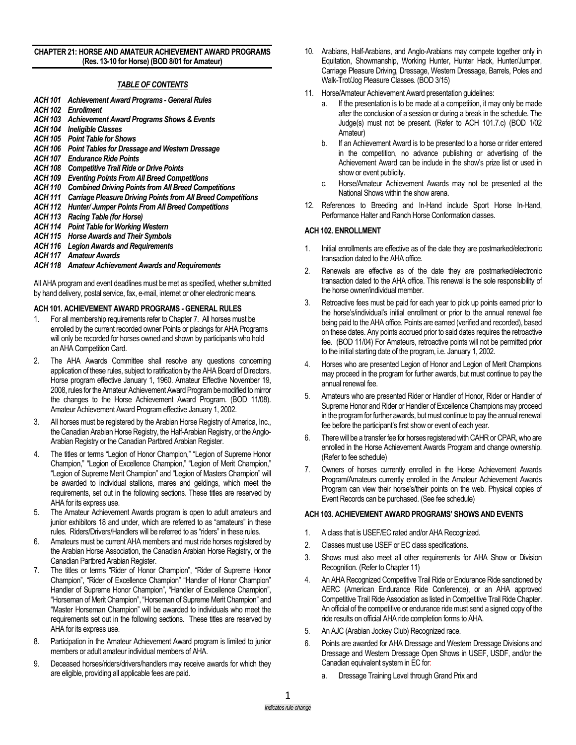### **CHAPTER 21: HORSE AND AMATEUR ACHIEVEMENT AWARD PROGRAMS (Res. 13-10 for Horse) (BOD 8/01 for Amateur)**

## *TABLE OF CONTENTS*

- *ACH 101 Achievement Award Programs - General Rules ACH 102 Enrollment ACH 103 Achievement Award Programs Shows & Events ACH 104 Ineligible Classes ACH 105 Point Table for Shows ACH 106 Point Tables for Dressage and Western Dressage ACH 107 Endurance Ride Points ACH 108 Competitive Trail Ride or Drive Points ACH 109 Eventing Points From All Breed Competitions ACH 110 Combined Driving Points from All Breed Competitions ACH 111 Carriage Pleasure Driving Points from All Breed Competitions ACH 112 Hunter/ Jumper Points From All Breed Competitions ACH 113 Racing Table (for Horse) ACH 114 Point Table for Working Western ACH 115 Horse Awards and Their Symbols*
- *ACH 116 Legion Awards and Requirements*
- *ACH 117 Amateur Awards*

### *ACH 118 Amateur Achievement Awards and Requirements*

All AHA program and event deadlines must be met as specified, whether submitted by hand delivery, postal service, fax, e-mail, internet or other electronic means.

### **ACH 101. ACHIEVEMENT AWARD PROGRAMS** *-* **GENERAL RULES**

- 1. For all membership requirements refer to Chapter 7. All horses must be enrolled by the current recorded owner Points or placings for AHA Programs will only be recorded for horses owned and shown by participants who hold an AHA Competition Card.
- 2. The AHA Awards Committee shall resolve any questions concerning application of these rules, subject to ratification by the AHA Board of Directors. Horse program effective January 1, 1960. Amateur Effective November 19, 2008, rules for the Amateur Achievement Award Program be modified to mirror the changes to the Horse Achievement Award Program. (BOD 11/08). Amateur Achievement Award Program effective January 1, 2002.
- 3. All horses must be registered by the Arabian Horse Registry of America, Inc., the Canadian Arabian Horse Registry, the Half-Arabian Registry, or the Anglo-Arabian Registry or the Canadian Partbred Arabian Register.
- 4. The titles or terms "Legion of Honor Champion," "Legion of Supreme Honor Champion," "Legion of Excellence Champion," "Legion of Merit Champion," "Legion of Supreme Merit Champion" and "Legion of Masters Champion" will be awarded to individual stallions, mares and geldings, which meet the requirements, set out in the following sections. These titles are reserved by AHA for its express use.
- 5. The Amateur Achievement Awards program is open to adult amateurs and junior exhibitors 18 and under, which are referred to as "amateurs" in these rules. Riders/Drivers/Handlers will be referred to as "riders" in these rules.
- 6. Amateurs must be current AHA members and must ride horses registered by the Arabian Horse Association, the Canadian Arabian Horse Registry, or the Canadian Partbred Arabian Register.
- 7. The titles or terms "Rider of Honor Champion", "Rider of Supreme Honor Champion", "Rider of Excellence Champion" "Handler of Honor Champion" Handler of Supreme Honor Champion", "Handler of Excellence Champion", "Horseman of Merit Champion", "Horseman of Supreme Merit Champion" and "Master Horseman Champion" will be awarded to individuals who meet the requirements set out in the following sections. These titles are reserved by AHA for its express use.
- 8. Participation in the Amateur Achievement Award program is limited to junior members or adult amateur individual members of AHA.
- 9. Deceased horses/riders/drivers/handlers may receive awards for which they are eligible, providing all applicable fees are paid.
- 10. Arabians, Half-Arabians, and Anglo-Arabians may compete together only in Equitation, Showmanship, Working Hunter, Hunter Hack, Hunter/Jumper, Carriage Pleasure Driving, Dressage, Western Dressage, Barrels, Poles and Walk-Trot/Jog Pleasure Classes. (BOD 3/15)
- 11. Horse/Amateur Achievement Award presentation guidelines:
	- If the presentation is to be made at a competition, it may only be made after the conclusion of a session or during a break in the schedule. The Judge(s) must not be present. (Refer to ACH 101.7.c) (BOD 1/02 Amateur)
	- If an Achievement Award is to be presented to a horse or rider entered in the competition, no advance publishing or advertising of the Achievement Award can be include in the show's prize list or used in show or event publicity.
	- c. Horse/Amateur Achievement Awards may not be presented at the National Shows within the show arena.
- 12. References to Breeding and In-Hand include Sport Horse In-Hand, Performance Halter and Ranch Horse Conformation classes.

## **ACH 102. ENROLLMENT**

- 1. Initial enrollments are effective as of the date they are postmarked/electronic transaction dated to the AHA office.
- 2. Renewals are effective as of the date they are postmarked/electronic transaction dated to the AHA office. This renewal is the sole responsibility of the horse owner/individual member.
- 3. Retroactive fees must be paid for each year to pick up points earned prior to the horse's/individual's initial enrollment or prior to the annual renewal fee being paid to the AHA office. Points are earned (verified and recorded), based on these dates. Any points accrued prior to said dates requires the retroactive fee. (BOD 11/04) For Amateurs, retroactive points will not be permitted prior to the initial starting date of the program, i.e. January 1, 2002.
- 4. Horses who are presented Legion of Honor and Legion of Merit Champions may proceed in the program for further awards, but must continue to pay the annual renewal fee.
- 5. Amateurs who are presented Rider or Handler of Honor, Rider or Handler of Supreme Honor and Rider or Handler of Excellence Champions may proceed in the program for further awards, but must continue to pay the annual renewal fee before the participant's first show or event of each year.
- 6. There will be a transfer fee for horses registered with CAHR or CPAR, who are enrolled in the Horse Achievement Awards Program and change ownership. (Refer to fee schedule)
- 7. Owners of horses currently enrolled in the Horse Achievement Awards Program/Amateurs currently enrolled in the Amateur Achievement Awards Program can view their horse's/their points on the web. Physical copies of Event Records can be purchased. (See fee schedule)

### **ACH 103. ACHIEVEMENT AWARD PROGRAMS' SHOWS AND EVENTS**

- 1. A class that is USEF/EC rated and/or AHA Recognized.
- 2. Classes must use USEF or EC class specifications.
- 3. Shows must also meet all other requirements for AHA Show or Division Recognition. (Refer to Chapter 11)
- 4. An AHA Recognized Competitive Trail Ride or Endurance Ride sanctioned by AERC (American Endurance Ride Conference), or an AHA approved Competitive Trail Ride Association as listed in Competitive Trail Ride Chapter. An official of the competitive or endurance ride must send a signed copy of the ride results on official AHA ride completion forms to AHA.
- 5. An AJC (Arabian Jockey Club) Recognized race.
- 6. Points are awarded for AHA Dressage and Western Dressage Divisions and Dressage and Western Dressage Open Shows in USEF, USDF, and/or the Canadian equivalent system in EC for:
	- a. Dressage Training Level through Grand Prix and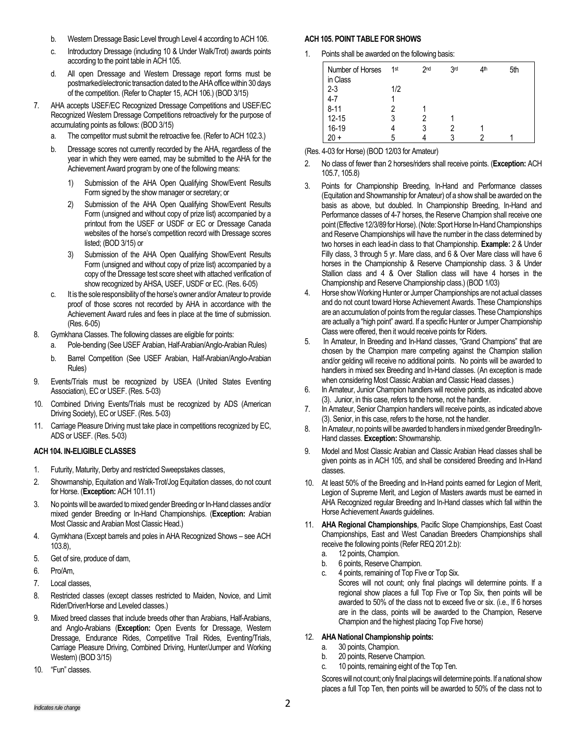- b. Western Dressage Basic Level through Level 4 according to ACH 106.
- c. Introductory Dressage (including 10 & Under Walk/Trot) awards points according to the point table in ACH 105.
- d. All open Dressage and Western Dressage report forms must be postmarked/electronic transaction dated to the AHA office within 30 days of the competition. (Refer to Chapter 15, ACH 106.) (BOD 3/15)
- 7. AHA accepts USEF/EC Recognized Dressage Competitions and USEF/EC Recognized Western Dressage Competitions retroactively for the purpose of accumulating points as follows: (BOD 3/15)
	- a. The competitor must submit the retroactive fee. (Refer to ACH 102.3.)
	- b. Dressage scores not currently recorded by the AHA, regardless of the year in which they were earned, may be submitted to the AHA for the Achievement Award program by one of the following means:
		- 1) Submission of the AHA Open Qualifying Show/Event Results Form signed by the show manager or secretary; or
		- 2) Submission of the AHA Open Qualifying Show/Event Results Form (unsigned and without copy of prize list) accompanied by a printout from the USEF or USDF or EC or Dressage Canada websites of the horse's competition record with Dressage scores listed; (BOD 3/15) or
		- 3) Submission of the AHA Open Qualifying Show/Event Results Form (unsigned and without copy of prize list) accompanied by a copy of the Dressage test score sheet with attached verification of show recognized by AHSA, USEF, USDF or EC. (Res. 6-05)
	- c. It is the sole responsibility of the horse's owner and/or Amateur to provide proof of those scores not recorded by AHA in accordance with the Achievement Award rules and fees in place at the time of submission. (Res. 6-05)
- 8. Gymkhana Classes. The following classes are eligible for points:
	- a. Pole-bending (See USEF Arabian, Half-Arabian/Anglo-Arabian Rules)
	- b. Barrel Competition (See USEF Arabian, Half-Arabian/Anglo-Arabian Rules)
- 9. Events/Trials must be recognized by USEA (United States Eventing Association), EC or USEF. (Res. 5-03)
- 10. Combined Driving Events/Trials must be recognized by ADS (American Driving Society), EC or USEF. (Res. 5-03)
- 11. Carriage Pleasure Driving must take place in competitions recognized by EC, ADS or USEF. (Res. 5-03)

# **ACH 104. IN-ELIGIBLE CLASSES**

- 1. Futurity, Maturity, Derby and restricted Sweepstakes classes,
- 2. Showmanship, Equitation and Walk-Trot/Jog Equitation classes, do not count for Horse. (**Exception:** ACH 101.11)
- 3. No points will be awarded to mixed gender Breeding or In-Hand classes and/or mixed gender Breeding or In-Hand Championships. (**Exception:** Arabian Most Classic and Arabian Most Classic Head.)
- 4. Gymkhana (Except barrels and poles in AHA Recognized Shows see ACH 103.8),
- 5. Get of sire, produce of dam,
- 6. Pro/Am,
- 7. Local classes,
- 8. Restricted classes (except classes restricted to Maiden, Novice, and Limit Rider/Driver/Horse and Leveled classes.)
- 9. Mixed breed classes that include breeds other than Arabians, Half-Arabians, and Anglo-Arabians (**Exception:** Open Events for Dressage, Western Dressage, Endurance Rides, Competitive Trail Rides, Eventing/Trials, Carriage Pleasure Driving, Combined Driving, Hunter/Jumper and Working Western) (BOD 3/15)
- 10. "Fun" classes.

# **ACH 105. POINT TABLE FOR SHOWS**

1. Points shall be awarded on the following basis:

| Number of Horses<br>in Class | 1 <sup>st</sup> | 2 <sub>nd</sub> | 3rd | 4 <sup>th</sup> | 5th |
|------------------------------|-----------------|-----------------|-----|-----------------|-----|
| $2 - 3$                      | 1/2             |                 |     |                 |     |
| $4 - 7$                      |                 |                 |     |                 |     |
| $8 - 11$                     |                 |                 |     |                 |     |
| $12 - 15$                    |                 |                 |     |                 |     |
| 16-19                        |                 |                 |     |                 |     |
|                              |                 |                 |     |                 |     |

(Res. 4-03 for Horse) (BOD 12/03 for Amateur)

- 2. No class of fewer than 2 horses/riders shall receive points. (**Exception:** ACH 105.7, 105.8)
- 3. Points for Championship Breeding, In-Hand and Performance classes (Equitation and Showmanship for Amateur) of a show shall be awarded on the basis as above, but doubled. In Championship Breeding, In-Hand and Performance classes of 4-7 horses, the Reserve Champion shall receive one point (Effective 12/3/89 for Horse). (Note: Sport Horse In-Hand Championships and Reserve Championships will have the number in the class determined by two horses in each lead-in class to that Championship. **Example:** 2 & Under Filly class, 3 through 5 yr. Mare class, and 6 & Over Mare class will have 6 horses in the Championship & Reserve Championship class. 3 & Under Stallion class and 4 & Over Stallion class will have 4 horses in the Championship and Reserve Championship class.) (BOD 1/03)
- 4. Horse show Working Hunter or Jumper Championships are not actual classes and do not count toward Horse Achievement Awards. These Championships are an accumulation of points from the regular classes. These Championships are actually a "high point" award. If a specific Hunter or Jumper Championship Class were offered, then it would receive points for Riders.
- 5. In Amateur, In Breeding and In-Hand classes, "Grand Champions" that are chosen by the Champion mare competing against the Champion stallion and/or gelding will receive no additional points. No points will be awarded to handlers in mixed sex Breeding and In-Hand classes. (An exception is made when considering Most Classic Arabian and Classic Head classes.)
- 6. In Amateur, Junior Champion handlers will receive points, as indicated above (3). Junior, in this case, refers to the horse, not the handler.
- 7. In Amateur, Senior Champion handlers will receive points, as indicated above (3). Senior, in this case, refers to the horse, not the handler.
- 8. In Amateur, no points will be awarded to handlers in mixed gender Breeding/In-Hand classes. **Exception:** Showmanship.
- 9. Model and Most Classic Arabian and Classic Arabian Head classes shall be given points as in ACH 105, and shall be considered Breeding and In-Hand classes.
- 10. At least 50% of the Breeding and In-Hand points earned for Legion of Merit, Legion of Supreme Merit, and Legion of Masters awards must be earned in AHA Recognized regular Breeding and In-Hand classes which fall within the Horse Achievement Awards guidelines.
- 11. **AHA Regional Championships**, Pacific Slope Championships, East Coast Championships, East and West Canadian Breeders Championships shall receive the following points (Refer REQ 201.2.b):
	- a. 12 points, Champion.
	- b. 6 points, Reserve Champion.
	- c. 4 points, remaining of Top Five or Top Six. Scores will not count; only final placings will determine points. If a regional show places a full Top Five or Top Six, then points will be awarded to 50% of the class not to exceed five or six. (i.e., If 6 horses are in the class, points will be awarded to the Champion, Reserve Champion and the highest placing Top Five horse)

# 12. **AHA National Championship points:**

- a. 30 points, Champion.
- b. 20 points, Reserve Champion.
- c. 10 points, remaining eight of the Top Ten.

Scores will not count; only final placings will determine points. If a national show places a full Top Ten, then points will be awarded to 50% of the class not to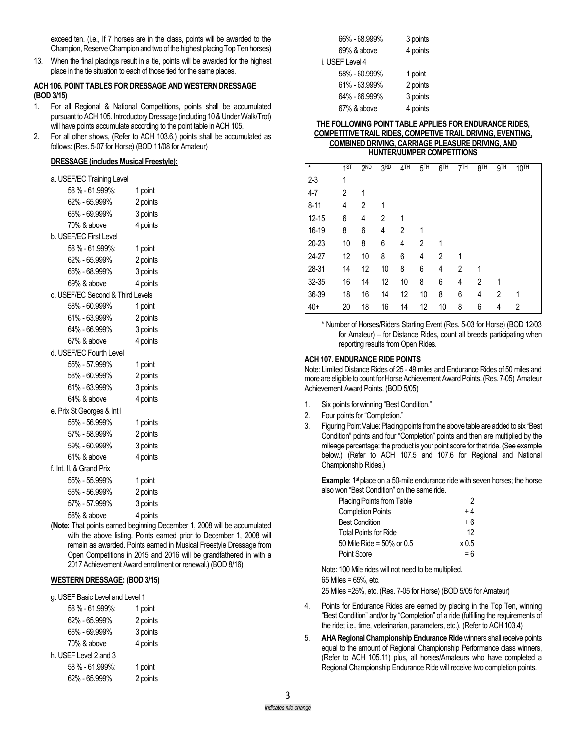exceed ten. (i.e., If 7 horses are in the class, points will be awarded to the Champion, Reserve Champion and two of the highest placing Top Ten horses)

13. When the final placings result in a tie, points will be awarded for the highest place in the tie situation to each of those tied for the same places.

### **ACH 106. POINT TABLES FOR DRESSAGE AND WESTERN DRESSAGE (BOD 3/15)**

- 1. For all Regional & National Competitions, points shall be accumulated pursuant to ACH 105. Introductory Dressage (including 10 & Under Walk/Trot) will have points accumulate according to the point table in ACH 105.
- 2. For all other shows, (Refer to ACH 103.6.) points shall be accumulated as follows: **(**Res. 5-07 for Horse) (BOD 11/08 for Amateur)

### **DRESSAGE (includes Musical Freestyle):**

| a. USEF/EC Training Level        |                    |  |  |  |  |
|----------------------------------|--------------------|--|--|--|--|
| 58 % - 61.999%:                  | 1 point            |  |  |  |  |
| 62% - 65.999%                    | 2 points           |  |  |  |  |
| 66% - 69.999%                    | 3 points           |  |  |  |  |
| 70% & above                      | 4 points           |  |  |  |  |
| b. USEF/EC First Level           |                    |  |  |  |  |
| 58 % - 61.999%:                  | 1 point            |  |  |  |  |
| 62% - 65.999%                    | 2 points           |  |  |  |  |
| 66% - 68.999%                    | 3 points           |  |  |  |  |
| 69% & above                      | 4 points           |  |  |  |  |
| c. USEF/EC Second & Third Levels |                    |  |  |  |  |
| 58% - 60.999%                    | 1 point            |  |  |  |  |
| 61% - 63.999%                    | 2 points           |  |  |  |  |
| 64% - 66.999%                    | 3 points           |  |  |  |  |
| 67% & above                      | 4 points           |  |  |  |  |
| d. USEF/EC Fourth Level          |                    |  |  |  |  |
| 55% - 57.999%                    | 1 point            |  |  |  |  |
| 58% - 60.999%                    | 2 points           |  |  |  |  |
| 61% - 63.999%                    | 3 points           |  |  |  |  |
| 64% & above                      | 4 points           |  |  |  |  |
| e. Prix St Georges & Int I       |                    |  |  |  |  |
| 55% - 56.999%                    | 1 points           |  |  |  |  |
| 57% - 58.999%                    | 2 points           |  |  |  |  |
| 59% - 60.999%                    | 3 points           |  |  |  |  |
| 61% & above                      | 4 points           |  |  |  |  |
| f. Int. II, & Grand Prix         |                    |  |  |  |  |
| 55% - 55.999%                    | 1 point            |  |  |  |  |
| 56% - 56.999%                    | 2 points           |  |  |  |  |
| 57% - 57.999%                    | 3 points           |  |  |  |  |
| 58% & above                      | 4 points           |  |  |  |  |
| .<br>$\overline{\phantom{a}}$    | <b>State State</b> |  |  |  |  |

(**Note:** That points earned beginning December 1, 2008 will be accumulated with the above listing. Points earned prior to December 1, 2008 will remain as awarded. Points earned in Musical Freestyle Dressage from Open Competitions in 2015 and 2016 will be grandfathered in with a 2017 Achievement Award enrollment or renewal.) (BOD 8/16)

### **WESTERN DRESSAGE: (BOD 3/15)**

| 58 % - 61.999%:       | 1 point  |
|-----------------------|----------|
| 62% - 65.999%         | 2 points |
| 66% - 69.999%         | 3 points |
| 70% & above           | 4 points |
| h. USEF Level 2 and 3 |          |
| 58 % - 61.999%:       | 1 point  |
| 62% - 65.999%         | 2 points |
|                       |          |

| 66% - 68.999%   | 3 points |
|-----------------|----------|
| 69% & above     | 4 points |
| i. USEF Level 4 |          |
| 58% - 60.999%   | 1 point  |
| 61% - 63.999%   | 2 points |
| 64% - 66.999%   | 3 points |
| 67% & above     | 4 points |

#### **THE FOLLOWING POINT TABLE APPLIES FOR ENDURANCE RIDES, COMPETITIVE TRAIL RIDES, COMPETIVE TRAIL DRIVING, EVENTING, COMBINED DRIVING, CARRIAGE PLEASURE DRIVING, AND HUNTER/JUMPER COMPETITIONS**

| $\star$   | 1ST | 2ND | 3RD | 4TH | 5 <sup>TH</sup> | 6 <sup>TH</sup> | 7 <sup>TH</sup> | 8 <sub>TH</sub> | 9 <sub>TH</sub> | 10 <sup>TH</sup> |
|-----------|-----|-----|-----|-----|-----------------|-----------------|-----------------|-----------------|-----------------|------------------|
| $2 - 3$   | 1   |     |     |     |                 |                 |                 |                 |                 |                  |
| $4 - 7$   | 2   | 1   |     |     |                 |                 |                 |                 |                 |                  |
| $8 - 11$  | 4   | 2   | 1   |     |                 |                 |                 |                 |                 |                  |
| $12 - 15$ | 6   | 4   | 2   | 1   |                 |                 |                 |                 |                 |                  |
| 16-19     | 8   | 6   | 4   | 2   | 1               |                 |                 |                 |                 |                  |
| 20-23     | 10  | 8   | 6   | 4   | 2               | 1               |                 |                 |                 |                  |
| 24-27     | 12  | 10  | 8   | 6   | 4               | 2               | 1               |                 |                 |                  |
| 28-31     | 14  | 12  | 10  | 8   | 6               | 4               | 2               | 1               |                 |                  |
| 32-35     | 16  | 14  | 12  | 10  | 8               | 6               | 4               | 2               | 1               |                  |
| 36-39     | 18  | 16  | 14  | 12  | 10              | 8               | 6               | 4               | 2               | 1                |
| $40+$     | 20  | 18  | 16  | 14  | 12              | 10              | 8               | 6               | 4               | 2                |

\* Number of Horses/Riders Starting Event (Res. 5-03 for Horse) (BOD 12/03 for Amateur) – for Distance Rides, count all breeds participating when reporting results from Open Rides.

### **ACH 107. ENDURANCE RIDE POINTS**

Note: Limited Distance Rides of 25 - 49miles and Endurance Rides of 50 miles and more are eligible to count for Horse Achievement Award Points.(Res. 7-05) Amateur Achievement Award Points. (BOD 5/05)

- 1. Six points for winning "Best Condition."
- 2. Four points for "Completion."
- 3. Figuring Point Value: Placing points from the above table are added to six "Best Condition" points and four "Completion" points and then are multiplied by the mileage percentage: the product is your point score for that ride. (See example below.) (Refer to ACH 107.5 and 107.6 for Regional and National Championship Rides.)

**Example**: 1<sup>st</sup> place on a 50-mile endurance ride with seven horses; the horse also won "Best Condition" on the same ride.

| <b>Placing Points from Table</b> |       |
|----------------------------------|-------|
| <b>Completion Points</b>         | +4    |
| <b>Best Condition</b>            | +6    |
| <b>Total Points for Ride</b>     | 12    |
| 50 Mile Ride = 50% or 0.5        | x 0.5 |
| Point Score                      | $= 6$ |

Note: 100 Mile rides will not need to be multiplied. 65 Miles = 65%, etc. 25 Miles =25%, etc. (Res. 7-05 for Horse) (BOD 5/05 for Amateur)

- 4. Points for Endurance Rides are earned by placing in the Top Ten, winning "Best Condition" and/or by "Completion" of a ride (fulfilling the requirements of the ride; i.e., time, veterinarian, parameters, etc.). (Refer to ACH 103.4)
- 5. **AHA Regional Championship Endurance Ride**winners shall receive points equal to the amount of Regional Championship Performance class winners, (Refer to ACH 105.11) plus, all horses/Amateurs who have completed a Regional Championship Endurance Ride will receive two completion points.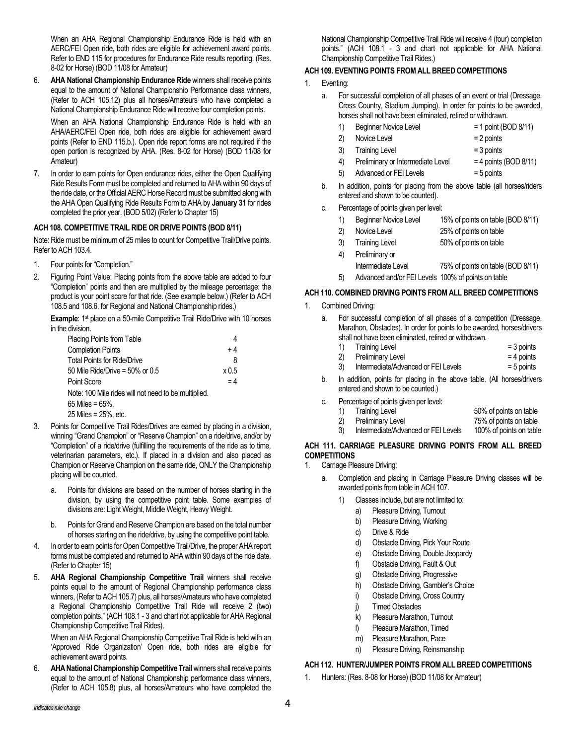When an AHA Regional Championship Endurance Ride is held with an AERC/FEI Open ride, both rides are eligible for achievement award points. Refer to END 115 for procedures for Endurance Ride results reporting. (Res. 8-02 for Horse) (BOD 11/08 for Amateur)

6. **AHA National Championship Endurance Ride** winners shall receive points equal to the amount of National Championship Performance class winners, (Refer to ACH 105.12) plus all horses/Amateurs who have completed a National Championship Endurance Ride will receive four completion points.

When an AHA National Championship Endurance Ride is held with an AHA/AERC/FEI Open ride, both rides are eligible for achievement award points (Refer to END 115.b.). Open ride report forms are not required if the open portion is recognized by AHA. (Res. 8-02 for Horse) (BOD 11/08 for Amateur)

7. In order to earn points for Open endurance rides, either the Open Qualifying Ride Results Form must be completed and returned to AHA within 90 days of the ride date, or the Official AERC Horse Record must be submitted along with the AHA Open Qualifying Ride Results Form to AHA by **January 31** for rides completed the prior year. (BOD 5/02) (Refer to Chapter 15)

## **ACH 108. COMPETITIVE TRAIL RIDE OR DRIVE POINTS (BOD 8/11)**

Note: Ride must be minimum of 25 miles to count for Competitive Trail/Drive points. Refer to ACH 103.4.

- 1. Four points for "Completion."
- 2. Figuring Point Value: Placing points from the above table are added to four "Completion" points and then are multiplied by the mileage percentage: the product is your point score for that ride. (See example below.) (Refer to ACH 108.5 and 108.6. for Regional and National Championship rides.)

**Example**: 1<sup>st</sup> place on a 50-mile Competitive Trail Ride/Drive with 10 horses in the division.

| Placing Points from Table                            |       |
|------------------------------------------------------|-------|
| <b>Completion Points</b>                             | $+4$  |
| <b>Total Points for Ride/Drive</b>                   | 8     |
| 50 Mile Ride/Drive = $50\%$ or 0.5                   | x0.5  |
| Point Score                                          | $= 4$ |
| Note: 100 Mile rides will not need to be multiplied. |       |
| 65 Miles = $65\%$ .                                  |       |
| 25 Miles = 25%, etc.                                 |       |

- 3. Points for Competitive Trail Rides/Drives are earned by placing in a division, winning "Grand Champion" or "Reserve Champion" on a ride/drive, and/or by "Completion" of a ride/drive (fulfilling the requirements of the ride as to time, veterinarian parameters, etc.). If placed in a division and also placed as Champion or Reserve Champion on the same ride, ONLY the Championship placing will be counted.
	- a. Points for divisions are based on the number of horses starting in the division, by using the competitive point table. Some examples of divisions are: Light Weight, Middle Weight, Heavy Weight.
	- b. Points for Grand and Reserve Champion are based on the total number of horses starting on the ride/drive, by using the competitive point table.
- 4. In order to earn points for Open Competitive Trail/Drive, the proper AHA report forms must be completed and returned to AHA within 90 days of the ride date. (Refer to Chapter 15)
- 5. **AHA Regional Championship Competitive Trail** winners shall receive points equal to the amount of Regional Championship performance class winners, (Refer to ACH 105.7) plus, all horses/Amateurs who have completed a Regional Championship Competitive Trail Ride will receive 2 (two) completion points." (ACH 108.1 - 3 and chart not applicable for AHA Regional Championship Competitive Trail Rides).

When an AHA Regional Championship Competitive Trail Ride is held with an 'Approved Ride Organization' Open ride, both rides are eligible for achievement award points.

6. **AHA National Championship Competitive Trail**winners shall receive points equal to the amount of National Championship performance class winners, (Refer to ACH 105.8) plus, all horses/Amateurs who have completed the

National Championship Competitive Trail Ride will receive 4 (four) completion points." (ACH 108.1 - 3 and chart not applicable for AHA National Championship Competitive Trail Rides.)

## **ACH 109. EVENTING POINTS FROM ALL BREED COMPETITIONS**

- 1. Eventing:
	- a. For successful completion of all phases of an event or trial (Dressage, Cross Country, Stadium Jumping). In order for points to be awarded, horses shall not have been eliminated, retired or withdrawn.
		- 1) Beginner Novice Level = 1 point (BOD 8/11)
		- $2)$  Novice Level  $= 2$  points
		- 3) Training Level = 3 points
		- 4) Preliminary or Intermediate Level  $= 4$  points (BOD 8/11)
		- 5) Advanced or FEI Levels = 5 points
	- b. In addition, points for placing from the above table (all horses/riders entered and shown to be counted).
	- c. Percentage of points given per level:
		- 1) Beginner Novice Level 15% of points on table (BOD 8/11)
		- 2) Novice Level 25% of points on table
		- 3) Training Level 50% of points on table
		- 4) Preliminary or
		- Intermediate Level 75% of points on table (BOD 8/11)
		- 5) Advanced and/or FEI Levels 100% of points on table

## **ACH 110. COMBINED DRIVING POINTS FROM ALL BREED COMPETITIONS**

Combined Driving:

| a. |    | For successful completion of all phases of a competition (Dressage,                                          |              |
|----|----|--------------------------------------------------------------------------------------------------------------|--------------|
|    |    | Marathon, Obstacles). In order for points to be awarded, horses/drivers                                      |              |
|    |    | shall not have been eliminated, retired or withdrawn.                                                        |              |
|    | 1) | <b>Training Level</b>                                                                                        | $=$ 3 points |
|    | 2) | Preliminary Level                                                                                            | $= 4$ points |
|    | 3) | Intermediate/Advanced or FEI Levels                                                                          | $= 5$ points |
| b. |    | In addition, points for placing in the above table. (All horses/drivers<br>entered and shown to be counted.) |              |

c. Percentage of points given per level:

| 1)  | <b>Training Level</b>               | 50% of points on table  |
|-----|-------------------------------------|-------------------------|
| 2)  | <b>Preliminary Level</b>            | 75% of points on table  |
| -3) | Intermediate/Advanced or FEI Levels | 100% of points on table |

## **ACH 111. CARRIAGE PLEASURE DRIVING POINTS FROM ALL BREED COMPETITIONS**

- 1. Carriage Pleasure Driving:
	- a. Completion and placing in Carriage Pleasure Driving classes will be awarded points from table in ACH 107.
		- 1) Classes include, but are not limited to:
			- a) Pleasure Driving, Turnout
			- b) Pleasure Driving, Working
			- c) Drive & Ride
			- d) Obstacle Driving, Pick Your Route
			- e) Obstacle Driving, Double Jeopardy
			- f) Obstacle Driving, Fault & Out
			- g) Obstacle Driving, Progressive
			- h) Obstacle Driving, Gambler's Choice
			- i) Obstacle Driving, Cross Country
			- j) Timed Obstacles
			- k) Pleasure Marathon, Turnout
			- l) Pleasure Marathon, Timed
			- m) Pleasure Marathon, Pace
			- n) Pleasure Driving, Reinsmanship

## **ACH 112. HUNTER/JUMPER POINTS FROM ALL BREED COMPETITIONS**

1. Hunters: (Res. 8-08 for Horse) (BOD 11/08 for Amateur)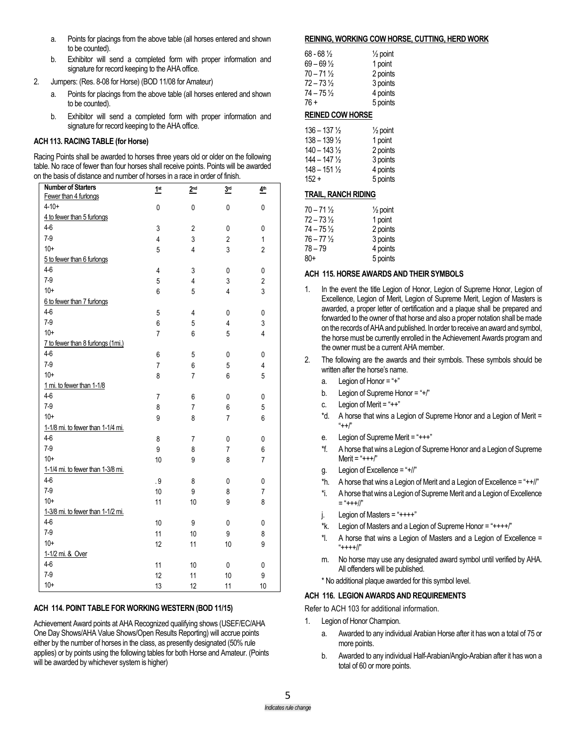- a. Points for placings from the above table (all horses entered and shown to be counted).
- b. Exhibitor will send a completed form with proper information and signature for record keeping to the AHA office.
- 2. Jumpers: (Res. 8-08 for Horse) (BOD 11/08 for Amateur)
	- Points for placings from the above table (all horses entered and shown to be counted).
	- b. Exhibitor will send a completed form with proper information and signature for record keeping to the AHA office.

### **ACH 113. RACING TABLE (for Horse)**

Racing Points shall be awarded to horses three years old or older on the following table. No race of fewer than four horses shall receive points. Points will be awarded on the basis of distance and number of horses in a race in order of finish.

| <b>Number of Starters</b>         | 1 <sup>st</sup> | 2 <sup>nd</sup> | 3 <sup>rd</sup> | 4 <sup>th</sup> |
|-----------------------------------|-----------------|-----------------|-----------------|-----------------|
| Fewer than 4 furlongs             |                 |                 |                 |                 |
| $4 - 10 +$                        | 0               | $\mathbf 0$     | 0               | 0               |
| 4 to fewer than 5 furlongs        |                 |                 |                 |                 |
| $4-6$                             | 3               | $\overline{2}$  | 0               | 0               |
| $7-9$                             | $\overline{4}$  | 3               | $\overline{2}$  | $\mathbf{1}$    |
| $10+$                             | 5               | $\overline{4}$  | 3               | $\overline{c}$  |
| 5 to fewer than 6 furlongs        |                 |                 |                 |                 |
| $4-6$                             | 4               | 3               | 0               | 0               |
| $7-9$                             | 5               | 4               | 3               | $\overline{2}$  |
| $10+$                             | 6               | 5               | 4               | 3               |
| 6 to fewer than 7 furlongs        |                 |                 |                 |                 |
| $4-6$                             | 5               | 4               | 0               | 0               |
| $7-9$                             | 6               | 5               | 4               | 3               |
| $10+$                             | 7               | 6               | 5               | $\overline{4}$  |
| 7 to fewer than 8 furlongs (1mi.) |                 |                 |                 |                 |
| $4-6$                             | 6               | 5               | 0               | 0               |
| $7-9$                             | $\overline{7}$  | 6               | 5               | 4               |
| $10+$                             | 8               | $\overline{7}$  | 6               | 5               |
| 1 mi. to fewer than 1-1/8         |                 |                 |                 |                 |
| $4-6$                             | $\overline{7}$  | 6               | 0               | 0               |
| $7-9$                             | 8               | 7               | 6               | 5               |
| $10+$                             | 9               | 8               | 7               | 6               |
| 1-1/8 mi. to fewer than 1-1/4 mi. |                 |                 |                 |                 |
| $4-6$                             | 8               | 7               | 0               | 0               |
| $7-9$                             | 9               | 8               | $\overline{7}$  | 6               |
| $10+$                             | 10              | 9               | 8               | 7               |
| 1-1/4 mi. to fewer than 1-3/8 mi. |                 |                 |                 |                 |
| $4-6$                             | . 9             | 8               | 0               | 0               |
| $7-9$                             | 10              | 9               | 8               | 7               |
| $10+$                             | 11              | 10              | 9               | 8               |
| 1-3/8 mi. to fewer than 1-1/2 mi. |                 |                 |                 |                 |
| $4-6$                             | 10              | 9               | 0               | 0               |
| $7-9$                             | 11              | 10              | 9               | 8               |
| $10+$                             | 12              | 11              | 10              | 9               |
| 1-1/2 mi. & Over                  |                 |                 |                 |                 |
| $4-6$                             | 11              | 10              | 0               | 0               |
| $7-9$                             | 12              | 11              | 10              | 9               |
| $10+$                             | 13              | 12              | 11              | 10              |

### **ACH 114. POINT TABLE FOR WORKING WESTERN (BOD 11/15)**

Achievement Award points at AHA Recognized qualifying shows (USEF/EC/AHA One Day Shows/AHA Value Shows/Open Results Reporting) will accrue points either by the number of horses in the class, as presently designated (50% rule applies) or by points using the following tables for both Horse and Amateur. (Points will be awarded by whichever system is higher)

#### **REINING, WORKING COW HORSE, CUTTING, HERD WORK**

| 1 point  |
|----------|
| 2 points |
| 3 points |
| 4 points |
| 5 points |
|          |

## **REINED COW HORSE**

| $\frac{1}{2}$ point |
|---------------------|
| 1 point             |
| 2 points            |
| 3 points            |
| 4 points            |
| 5 points            |
|                     |

### **TRAIL, RANCH RIDING**

| $70 - 71\frac{1}{2}$ | $\frac{1}{2}$ point |
|----------------------|---------------------|
| $72 - 73\frac{1}{2}$ | 1 point             |
| $74 - 75\frac{1}{2}$ | 2 points            |
| 76 – 77 ½            | 3 points            |
| 78 – 79              | 4 points            |
| $80+$                | 5 points            |

### **ACH 115. HORSE AWARDS AND THEIR SYMBOLS**

- 1. In the event the title Legion of Honor, Legion of Supreme Honor, Legion of Excellence, Legion of Merit, Legion of Supreme Merit, Legion of Masters is awarded, a proper letter of certification and a plaque shall be prepared and forwarded to the owner of that horse and also a proper notation shall be made on the records of AHA and published. In order to receive an award and symbol, the horse must be currently enrolled in the Achievement Awards program and the owner must be a current AHA member.
- 2. The following are the awards and their symbols. These symbols should be written after the horse's name.
	- a. Legion of Honor = "+"
	- b. Legion of Supreme Honor = "+/"
	- c. Legion of Merit = " $++$ "
	- \*d. A horse that wins a Legion of Supreme Honor and a Legion of Merit =  $+$  $+$  $\frac{1}{2}$
	- e. Legion of Supreme Merit = "+++"
	- \*f. A horse that wins a Legion of Supreme Honor and a Legion of Supreme  $M$ erit = "+++ $/$ "
	- g. Legion of Excellence = "+//"
	- \*h. A horse that wins a Legion of Merit and a Legion of Excellence = " $+$ +/ $\mid$ "
	- \*i. A horse that wins a Legion of Supreme Merit and a Legion of Excellence  $=$  "+++//"
	- Legion of Masters = " $++++"$
	- $*$ k. Legion of Masters and a Legion of Supreme Honor = " $***$ "
	- \*l. A horse that wins a Legion of Masters and a Legion of Excellence = "++++//"
	- m. No horse may use any designated award symbol until verified by AHA. All offenders will be published.
	- \* No additional plaque awarded for this symbol level.

### **ACH 116. LEGION AWARDS AND REQUIREMENTS**

Refer to ACH 103 for additional information.

- 1. Legion of Honor Champion.
	- a. Awarded to any individual Arabian Horse after it has won a total of 75 or more points.
	- b. Awarded to any individual Half-Arabian/Anglo-Arabian after it has won a total of 60 or more points.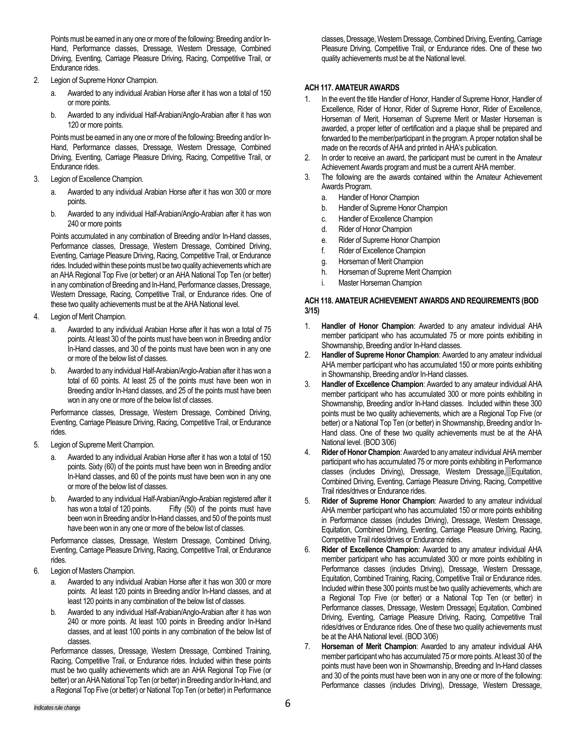Points must be earned in any one or more of the following: Breeding and/or In-Hand, Performance classes, Dressage, Western Dressage, Combined Driving, Eventing, Carriage Pleasure Driving, Racing, Competitive Trail, or Endurance rides.

- 2. Legion of Supreme Honor Champion.
	- a. Awarded to any individual Arabian Horse after it has won a total of 150 or more points.
	- b. Awarded to any individual Half-Arabian/Anglo-Arabian after it has won 120 or more points.

Points must be earned in any one or more of the following: Breeding and/or In-Hand, Performance classes, Dressage, Western Dressage, Combined Driving, Eventing, Carriage Pleasure Driving, Racing, Competitive Trail, or Endurance rides.

- 3. Legion of Excellence Champion.
	- a. Awarded to any individual Arabian Horse after it has won 300 or more points.
	- b. Awarded to any individual Half-Arabian/Anglo-Arabian after it has won 240 or more points

Points accumulated in any combination of Breeding and/or In-Hand classes, Performance classes, Dressage, Western Dressage, Combined Driving, Eventing, Carriage Pleasure Driving, Racing, Competitive Trail, or Endurance rides. Included within these points must be two quality achievements which are an AHA Regional Top Five (or better) or an AHA National Top Ten (or better) in any combination of Breeding and In-Hand, Performance classes, Dressage, Western Dressage, Racing, Competitive Trail, or Endurance rides. One of these two quality achievements must be at the AHA National level.

- 4. Legion of Merit Champion.
	- Awarded to any individual Arabian Horse after it has won a total of 75 points. At least 30 of the points must have been won in Breeding and/or In-Hand classes, and 30 of the points must have been won in any one or more of the below list of classes.
	- b. Awarded to any individual Half-Arabian/Anglo-Arabian after it has won a total of 60 points. At least 25 of the points must have been won in Breeding and/or In-Hand classes, and 25 of the points must have been won in any one or more of the below list of classes.

Performance classes, Dressage, Western Dressage, Combined Driving, Eventing, Carriage Pleasure Driving, Racing, Competitive Trail, or Endurance rides.

- 5. Legion of Supreme Merit Champion.
	- a. Awarded to any individual Arabian Horse after it has won a total of 150 points. Sixty (60) of the points must have been won in Breeding and/or In-Hand classes, and 60 of the points must have been won in any one or more of the below list of classes.
	- b. Awarded to any individual Half-Arabian/Anglo-Arabian registered after it has won a total of 120 points. Fifty (50) of the points must have Fifty  $(50)$  of the points must have been won in Breeding and/or In-Hand classes, and 50 of the points must have been won in any one or more of the below list of classes.

Performance classes, Dressage, Western Dressage, Combined Driving, Eventing, Carriage Pleasure Driving, Racing, Competitive Trail, or Endurance rides.

- 6. Legion of Masters Champion.
	- a. Awarded to any individual Arabian Horse after it has won 300 or more points. At least 120 points in Breeding and/or In-Hand classes, and at least 120 points in any combination of the below list of classes.
	- b. Awarded to any individual Half-Arabian/Anglo-Arabian after it has won 240 or more points. At least 100 points in Breeding and/or In-Hand classes, and at least 100 points in any combination of the below list of classes.

Performance classes, Dressage, Western Dressage, Combined Training, Racing, Competitive Trail, or Endurance rides. Included within these points must be two quality achievements which are an AHA Regional Top Five (or better) or an AHA National Top Ten (or better) in Breeding and/or In-Hand, and a Regional Top Five (or better) or National Top Ten (or better) in Performance classes, Dressage, Western Dressage, Combined Driving, Eventing, Carriage Pleasure Driving, Competitive Trail, or Endurance rides. One of these two quality achievements must be at the National level.

### **ACH 117. AMATEUR AWARDS**

- In the event the title Handler of Honor, Handler of Supreme Honor, Handler of Excellence, Rider of Honor, Rider of Supreme Honor, Rider of Excellence, Horseman of Merit, Horseman of Supreme Merit or Master Horseman is awarded, a proper letter of certification and a plaque shall be prepared and forwarded to the member/participant in the program. A proper notation shall be made on the records of AHA and printed in AHA's publication.
- 2. In order to receive an award, the participant must be current in the Amateur Achievement Awards program and must be a current AHA member.
- 3. The following are the awards contained within the Amateur Achievement Awards Program.
	- a. Handler of Honor Champion
	- b. Handler of Supreme Honor Champion
	- c. Handler of Excellence Champion
	- d. Rider of Honor Champion
	- e. Rider of Supreme Honor Champion
	- f. Rider of Excellence Champion
	- g. Horseman of Merit Champion
	- h. Horseman of Supreme Merit Champion
	- i. Master Horseman Champion

### **ACH 118. AMATEUR ACHIEVEMENT AWARDS AND REQUIREMENTS (BOD 3/15)**

- 1. **Handler of Honor Champion**: Awarded to any amateur individual AHA member participant who has accumulated 75 or more points exhibiting in Showmanship, Breeding and/or In-Hand classes.
- 2. **Handler of Supreme Honor Champion**: Awarded to any amateur individual AHA member participant who has accumulated 150 or more points exhibiting in Showmanship, Breeding and/or In-Hand classes.
- 3. **Handler of Excellence Champion**: Awarded to any amateur individual AHA member participant who has accumulated 300 or more points exhibiting in Showmanship, Breeding and/or In-Hand classes. Included within these 300 points must be two quality achievements, which are a Regional Top Five (or better) or a National Top Ten (or better) in Showmanship, Breeding and/or In-Hand class. One of these two quality achievements must be at the AHA National level. (BOD 3/06)
- 4. **Rider of Honor Champion**: Awarded to any amateur individual AHA member participant who has accumulated 75 or more points exhibiting in Performance classes (includes Driving), Dressage, Western Dressage, Equitation, Combined Driving, Eventing, Carriage Pleasure Driving, Racing, Competitive Trail rides/drives or Endurance rides.
- 5. **Rider of Supreme Honor Champion**: Awarded to any amateur individual AHA member participant who has accumulated 150 or more points exhibiting in Performance classes (includes Driving), Dressage, Western Dressage, Equitation, Combined Driving, Eventing, Carriage Pleasure Driving, Racing, Competitive Trail rides/drives or Endurance rides.
- 6. **Rider of Excellence Champion**: Awarded to any amateur individual AHA member participant who has accumulated 300 or more points exhibiting in Performance classes (includes Driving), Dressage, Western Dressage, Equitation, Combined Training, Racing, Competitive Trail or Endurance rides. Included within these 300 points must be two quality achievements, which are a Regional Top Five (or better) or a National Top Ten (or better) in Performance classes, Dressage, Western Dressage, Equitation, Combined Driving, Eventing, Carriage Pleasure Driving, Racing, Competitive Trail rides/drives or Endurance rides. One of these two quality achievements must be at the AHA National level. (BOD 3/06)
- 7. **Horseman of Merit Champion**: Awarded to any amateur individual AHA member participant who has accumulated 75 or more points. At least 30 of the points must have been won in Showmanship, Breeding and In-Hand classes and 30 of the points must have been won in any one or more of the following: Performance classes (includes Driving), Dressage, Western Dressage,